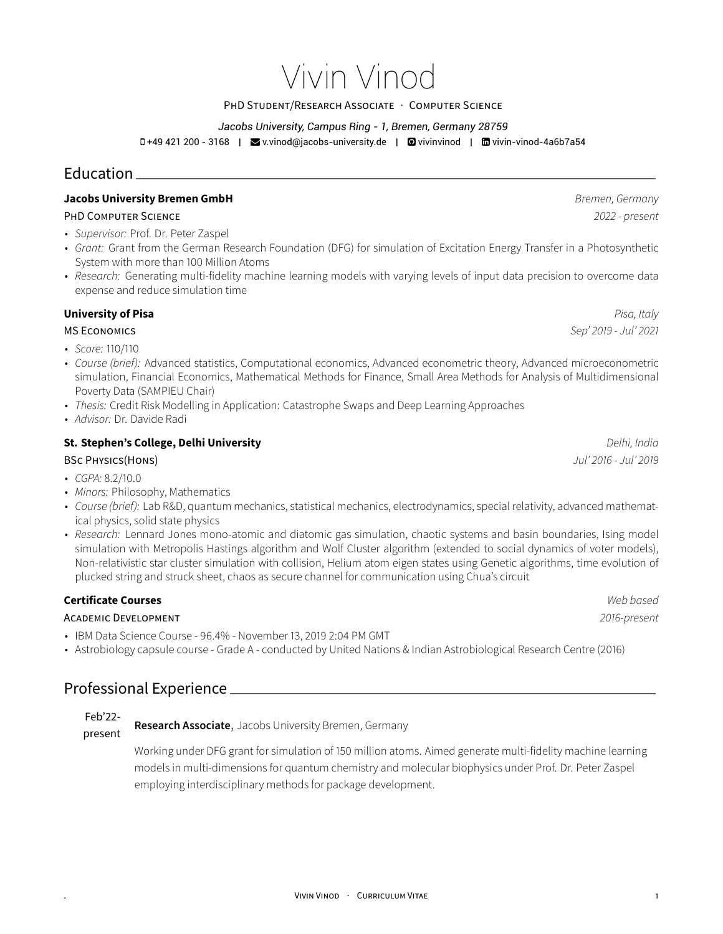# Vivin Vinod

#### PHD STUDENT/RESEARCH ASSOCIATE · COMPUTER SCIENCE

#### *Jacobs University, Campus Ring - 1, Bremen, Germany 28759*

D+49 421 200 - 3168 | ■ v.vinod@jacobs-university.de | ■ vivinvinod | ■ vivin-vinod-4a6b7a54

## Education

#### **Jacobs University Bremen GmbH** *Bremen, Germany*

#### PHD COMPUTER SCIENCE *2022 - present*

- *Supervisor:* Prof. Dr. Peter Zaspel
- *Grant:* Grant from the German Research Foundation (DFG) for simulation of Excitation Energy Transfer in a Photosynthetic System with more than 100 Million Atoms
- *Research:* Generating multi-fidelity machine learning models with varying levels of input data precision to overcome data expense and reduce simulation time

#### **University of Pisa** *Pisa, Italy*

MS ECONOMICS *Sep' 2019 - Jul' 2021*

- *Score:* 110/110
- *Course (brief):* Advanced statistics, Computational economics, Advanced econometric theory, Advanced microeconometric simulation, Financial Economics, Mathematical Methods for Finance, Small Area Methods for Analysis of Multidimensional Poverty Data (SAMPIEU Chair)
- *Thesis:* Credit Risk Modelling in Application: Catastrophe Swaps and Deep Learning Approaches
- *Advisor:* Dr. Davide Radi

#### **St. Stephen's College, Delhi University** *Delhi, India*

#### BSC PHYSICS(HONS) *Jul' 2016 - Jul' 2019*

- *CGPA:* 8.2/10.0
- *Minors:* Philosophy, Mathematics
- *Course (brief):* Lab R&D, quantum mechanics, statistical mechanics, electrodynamics, special relativity, advanced mathematical physics, solid state physics
- *Research:* Lennard Jones mono-atomic and diatomic gas simulation, chaotic systems and basin boundaries, Ising model simulation with Metropolis Hastings algorithm and Wolf Cluster algorithm (extended to social dynamics of voter models), Non-relativistic star cluster simulation with collision, Helium atom eigen states using Genetic algorithms, time evolution of plucked string and struck sheet, chaos as secure channel for communication using Chua's circuit

#### **Certificate Courses** *Web based*

#### ACADEMIC DEVELOPMENT *2016-present*

- IBM Data Science Course 96.4% November 13, 2019 2:04 PM GMT
- Astrobiology capsule course Grade A conducted by United Nations & Indian Astrobiological Research Centre (2016)

# Professional Experience

Feb'22 present **Research Associate**, Jacobs University Bremen, Germany

> Working under DFG grant for simulation of 150 million atoms. Aimed generate multi-fidelity machine learning models in multi-dimensions for quantum chemistry and molecular biophysics under Prof. Dr. Peter Zaspel employing interdisciplinary methods for package development.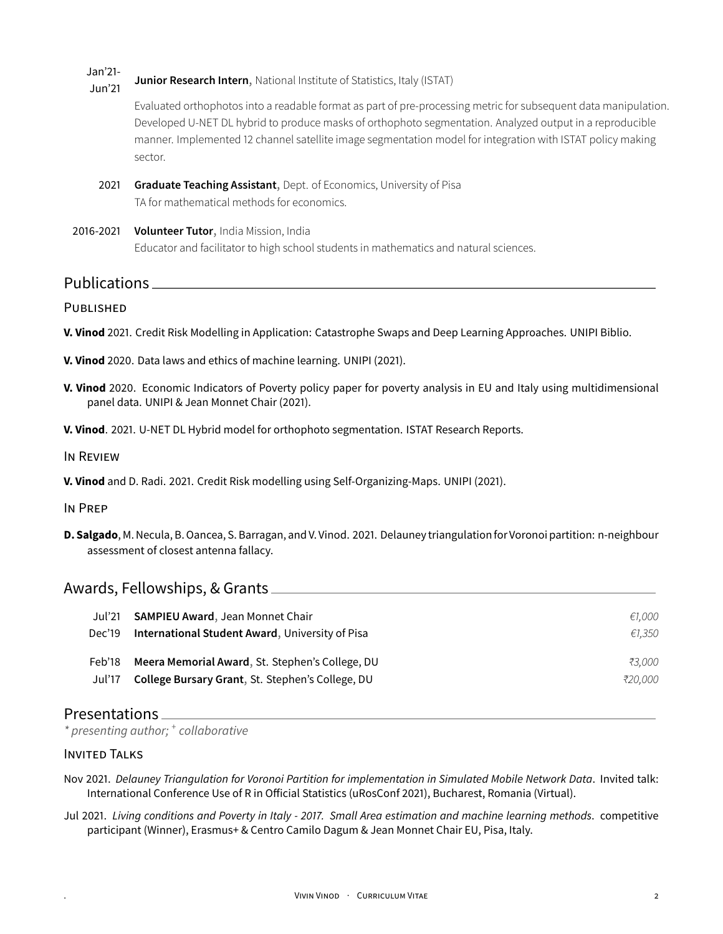Jan'21- Jun'21 **Junior Research Intern**, National Institute of Statistics, Italy (ISTAT)

> Evaluated orthophotos into a readable format as part of pre-processing metric for subsequent data manipulation. Developed U-NET DL hybrid to produce masks of orthophoto segmentation. Analyzed output in a reproducible manner. Implemented 12 channel satellite image segmentation model for integration with ISTAT policy making sector.

- 2021 **Graduate Teaching Assistant**, Dept. of Economics, University of Pisa TA for mathematical methods for economics.
- 2016-2021 **Volunteer Tutor**, India Mission, India Educator and facilitator to high school students in mathematics and natural sciences.

Publications

**PUBLISHED** 

- **V. Vinod** 2021. Credit Risk Modelling in Application: Catastrophe Swaps and Deep Learning Approaches. UNIPI Biblio.
- **V. Vinod** 2020. Data laws and ethics of machine learning. UNIPI (2021).
- **V. Vinod** 2020. Economic Indicators of Poverty policy paper for poverty analysis in EU and Italy using multidimensional panel data. UNIPI & Jean Monnet Chair (2021).
- **V. Vinod**. 2021. U-NET DL Hybrid model for orthophoto segmentation. ISTAT Research Reports.

IN REVIEW

**V. Vinod** and D. Radi. 2021. Credit Risk modelling using Self-Organizing-Maps. UNIPI (2021).

IN PREP

**D. Salgado**, M. Necula, B. Oancea, S. Barragan, and V. Vinod. 2021. Delauney triangulationfor Voronoi partition: n-neighbour assessment of closest antenna fallacy.

#### Awards, Fellowships, & Grants

| Jul'21 | <b>SAMPIEU Award, Jean Monnet Chair</b>          | €1.000  |
|--------|--------------------------------------------------|---------|
| Dec'19 | International Student Award, University of Pisa  | €1.350  |
| Feb'18 | Meera Memorial Award, St. Stephen's College, DU  | ₹3.000  |
| Jul'17 | College Bursary Grant, St. Stephen's College, DU | ₹20.000 |

### Presentations

*\* presenting author; <sup>+</sup> collaborative*

#### INVITED TALKS

- Nov 2021. *Delauney Triangulation for Voronoi Partition for implementation in Simulated Mobile Network Data*. Invited talk: International Conference Use of R in Official Statistics (uRosConf 2021), Bucharest, Romania (Virtual).
- Jul 2021. *Living conditions and Poverty in Italy 2017. Small Area estimation and machine learning methods*. competitive participant (Winner), Erasmus+ & Centro Camilo Dagum & Jean Monnet Chair EU, Pisa, Italy.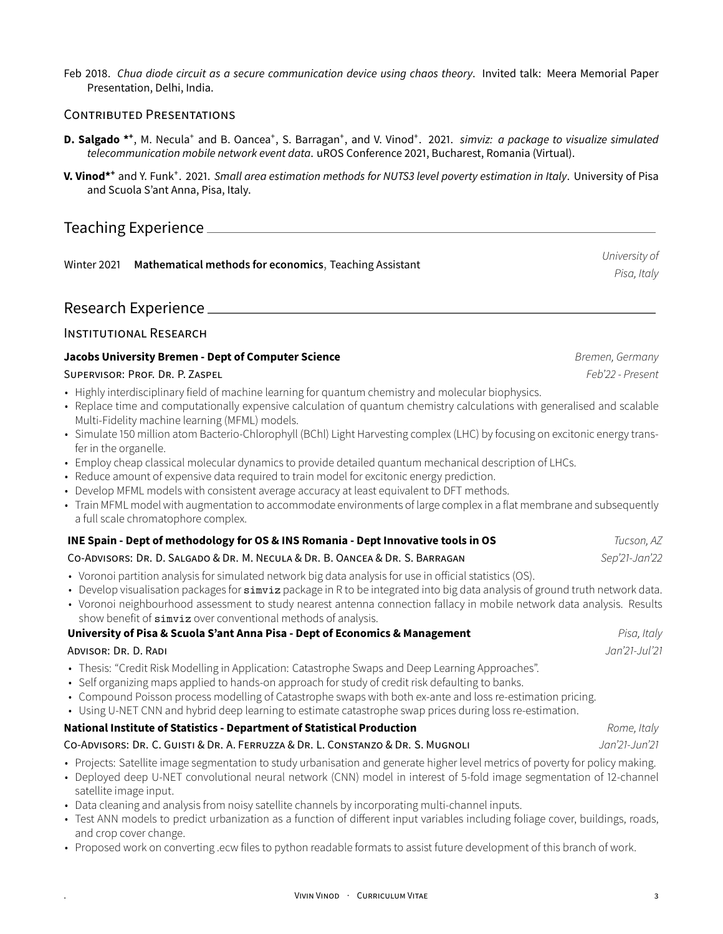Feb 2018. *Chua diode circuit as a secure communication device using chaos theory*. Invited talk: Meera Memorial Paper Presentation, Delhi, India.

#### CONTRIBUTED PRESENTATIONS

- D. Salgado \*<sup>+</sup>, M. Necula<sup>+</sup> and B. Oancea<sup>+</sup>, S. Barragan<sup>+</sup>, and V. Vinod<sup>+</sup>. 2021. *simviz: a package to visualize simulated telecommunication mobile network event data*. uROS Conference 2021, Bucharest, Romania (Virtual).
- **V. Vinod\*<sup>+</sup>** and Y. Funk<sup>+</sup> . 2021. *Small area estimation methods for NUTS3 level poverty estimation in Italy*. University of Pisa and Scuola S'ant Anna, Pisa, Italy.

# Teaching Experience

Winter 2021 **Mathematical methods for economics**, Teaching Assistant

Research Experience

#### INSTITUTIONAL RESEARCH

#### **Jacobs University Bremen - Dept of Computer Science** *Bremen, Germany*

#### SUPERVISOR: PROF. DR. P. ZASPEL *Feb'22 - Present*

- Highly interdisciplinary field of machine learning for quantum chemistry and molecular biophysics.
- Replace time and computationally expensive calculation of quantum chemistry calculations with generalised and scalable Multi-Fidelity machine learning (MFML) models.
- Simulate 150 million atom Bacterio-Chlorophyll (BChl) Light Harvesting complex (LHC) by focusing on excitonic energy transfer in the organelle.
- Employ cheap classical molecular dynamics to provide detailed quantum mechanical description of LHCs.
- Reduce amount of expensive data required to train model for excitonic energy prediction.
- Develop MFML models with consistent average accuracy at least equivalent to DFT methods.
- Train MFML model with augmentation to accommodate environments of large complex in a flat membrane and subsequently a full scale chromatophore complex.

#### **INE Spain - Dept of methodology for OS & INS Romania - Dept Innovative tools in OS** *Tucson, AZ* CO-ADVISORS: DR. D. SALGADO & DR. M. NECULA & DR. B. OANCEA & DR. S. BARRAGAN *Sep'21-Jan'22*

- Voronoi partition analysis for simulated network big data analysis for use in official statistics (OS).
- Develop visualisation packages for simviz package in R to be integrated into big data analysis of ground truth network data.
- Voronoi neighbourhood assessment to study nearest antenna connection fallacy in mobile network data analysis. Results show benefit of simviz over conventional methods of analysis.

#### **University of Pisa & Scuola S'ant Anna Pisa - Dept of Economics & Management** *Pisa, Italy*

#### ADVISOR: DR. D. RADI *Jan'21-Jul'21*

- Thesis: "Credit Risk Modelling in Application: Catastrophe Swaps and Deep Learning Approaches".
- Self organizing maps applied to hands-on approach for study of credit risk defaulting to banks.
- Compound Poisson process modelling of Catastrophe swaps with both ex-ante and loss re-estimation pricing.
- Using U-NET CNN and hybrid deep learning to estimate catastrophe swap prices during loss re-estimation.

#### **National Institute of Statistics - Department of Statistical Production** *Rome, Italy*

### CO-ADVISORS: DR. C. GUISTI & DR. A. FERRUZZA & DR. L. CONSTANZO & DR. S. MUGNOLI *Jan'21-Jun'21*

- Projects: Satellite image segmentation to study urbanisation and generate higher level metrics of poverty for policy making.
- Deployed deep U-NET convolutional neural network (CNN) model in interest of 5-fold image segmentation of 12-channel satellite image input.
- Data cleaning and analysis from noisy satellite channels by incorporating multi-channel inputs.
- Test ANN models to predict urbanization as a function of different input variables including foliage cover, buildings, roads, and crop cover change.
- Proposed work on converting .ecw files to python readable formats to assist future development of this branch of work.

*University of Pisa, Italy*